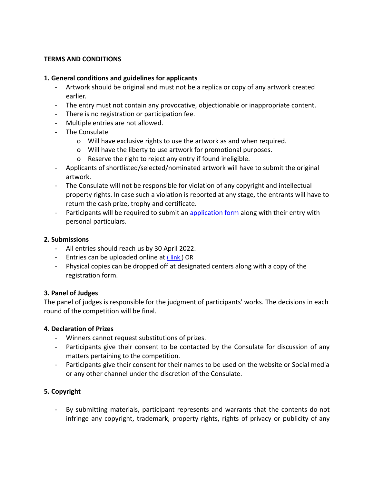## **TERMS AND CONDITIONS**

### **1. General conditions and guidelines for applicants**

- Artwork should be original and must not be a replica or copy of any artwork created earlier.
- The entry must not contain any provocative, objectionable or inappropriate content.
- There is no registration or participation fee.
- Multiple entries are not allowed.
- The Consulate
	- o Will have exclusive rights to use the artwork as and when required.
	- o Will have the liberty to use artwork for promotional purposes.
	- o Reserve the right to reject any entry if found ineligible.
- Applicants of shortlisted/selected/nominated artwork will have to submit the original artwork.
- The Consulate will not be responsible for violation of any copyright and intellectual property rights. In case such a violation is reported at any stage, the entrants will have to return the cash prize, trophy and certificate.
- Participants will be required to submit an [application](https://www.cgitoronto.gov.in/competition_register.php?cat=art) form along with their entry with personal particulars.

#### **2. Submissions**

- All entries should reach us by 30 April 2022.
- Entries can be uploaded online at [\(](https://www.cgitoronto.gov.in/competition_register.php?cat=art)link) OR
- Physical copies can be dropped off at designated centers along with a copy of the registration form.

#### **3. Panel of Judges**

The panel of judges is responsible for the judgment of participants' works. The decisions in each round of the competition will be final.

#### **4. Declaration of Prizes**

- Winners cannot request substitutions of prizes.
- Participants give their consent to be contacted by the Consulate for discussion of any matters pertaining to the competition.
- Participants give their consent for their names to be used on the website or Social media or any other channel under the discretion of the Consulate.

# **5. Copyright**

By submitting materials, participant represents and warrants that the contents do not infringe any copyright, trademark, property rights, rights of privacy or publicity of any